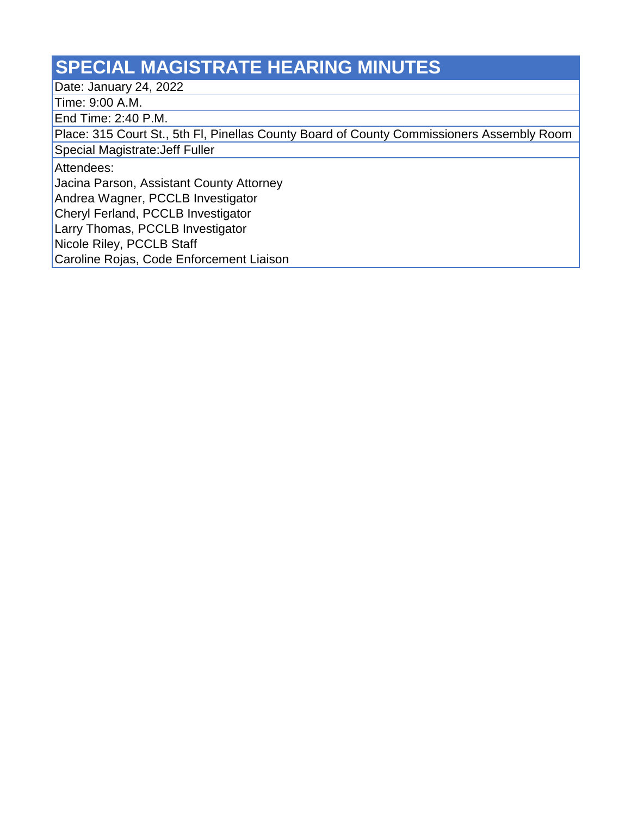## **SPECIAL MAGISTRATE HEARING MINUTES**

Date: January 24, 2022

Time: 9:00 A.M.

End Time: 2:40 P.M.

Place: 315 Court St., 5th Fl, Pinellas County Board of County Commissioners Assembly Room

Special Magistrate:Jeff Fuller

Attendees:

Jacina Parson, Assistant County Attorney

Andrea Wagner, PCCLB Investigator

Cheryl Ferland, PCCLB Investigator

Larry Thomas, PCCLB Investigator

Nicole Riley, PCCLB Staff

Caroline Rojas, Code Enforcement Liaison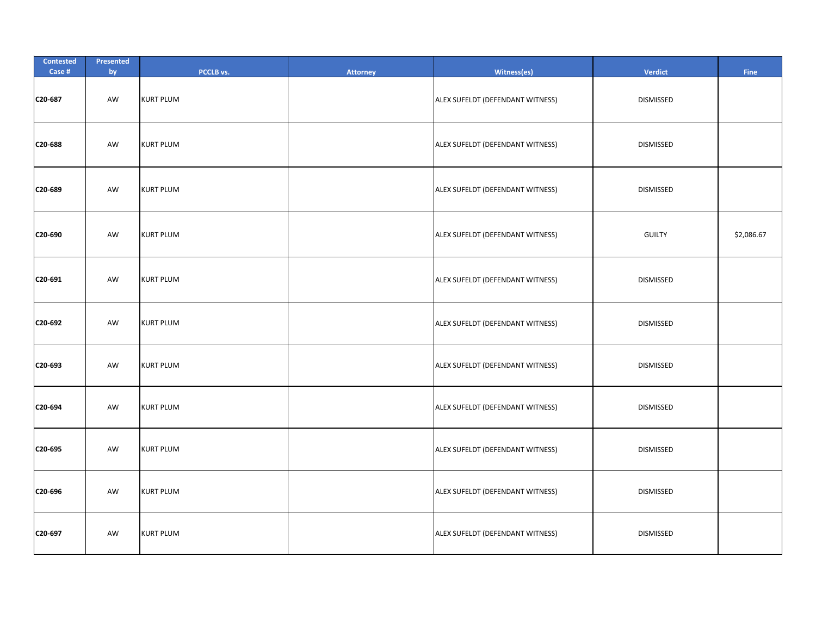| <b>Contested</b><br>Case # | Presented<br>by | PCCLB vs.        | <b>Attorney</b> | Witness(es)                      | Verdict          | <b>Fine</b> |
|----------------------------|-----------------|------------------|-----------------|----------------------------------|------------------|-------------|
| C20-687                    | AW              | <b>KURT PLUM</b> |                 | ALEX SUFELDT (DEFENDANT WITNESS) | <b>DISMISSED</b> |             |
| C20-688                    | AW              | <b>KURT PLUM</b> |                 | ALEX SUFELDT (DEFENDANT WITNESS) | <b>DISMISSED</b> |             |
| C20-689                    | AW              | <b>KURT PLUM</b> |                 | ALEX SUFELDT (DEFENDANT WITNESS) | <b>DISMISSED</b> |             |
| C20-690                    | AW              | <b>KURT PLUM</b> |                 | ALEX SUFELDT (DEFENDANT WITNESS) | <b>GUILTY</b>    | \$2,086.67  |
| C20-691                    | AW              | <b>KURT PLUM</b> |                 | ALEX SUFELDT (DEFENDANT WITNESS) | <b>DISMISSED</b> |             |
| C20-692                    | AW              | <b>KURT PLUM</b> |                 | ALEX SUFELDT (DEFENDANT WITNESS) | <b>DISMISSED</b> |             |
| C20-693                    | AW              | <b>KURT PLUM</b> |                 | ALEX SUFELDT (DEFENDANT WITNESS) | <b>DISMISSED</b> |             |
| C20-694                    | AW              | <b>KURT PLUM</b> |                 | ALEX SUFELDT (DEFENDANT WITNESS) | <b>DISMISSED</b> |             |
| C20-695                    | AW              | <b>KURT PLUM</b> |                 | ALEX SUFELDT (DEFENDANT WITNESS) | <b>DISMISSED</b> |             |
| C20-696                    | AW              | <b>KURT PLUM</b> |                 | ALEX SUFELDT (DEFENDANT WITNESS) | <b>DISMISSED</b> |             |
| C20-697                    | AW              | <b>KURT PLUM</b> |                 | ALEX SUFELDT (DEFENDANT WITNESS) | <b>DISMISSED</b> |             |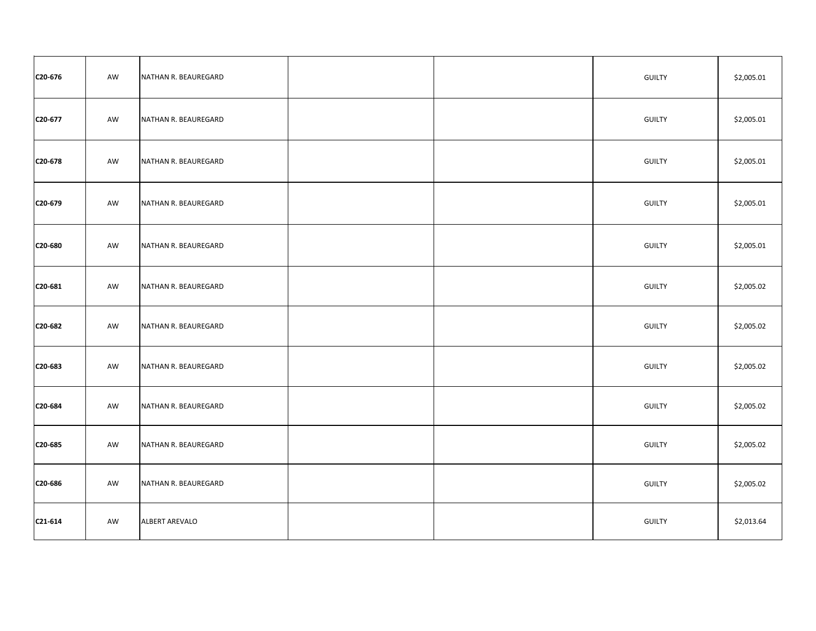| C20-676 | AW | NATHAN R. BEAUREGARD  |  | <b>GUILTY</b> | \$2,005.01 |
|---------|----|-----------------------|--|---------------|------------|
| C20-677 | AW | NATHAN R. BEAUREGARD  |  | <b>GUILTY</b> | \$2,005.01 |
| C20-678 | AW | NATHAN R. BEAUREGARD  |  | <b>GUILTY</b> | \$2,005.01 |
| C20-679 | AW | NATHAN R. BEAUREGARD  |  | <b>GUILTY</b> | \$2,005.01 |
| C20-680 | AW | NATHAN R. BEAUREGARD  |  | <b>GUILTY</b> | \$2,005.01 |
| C20-681 | AW | NATHAN R. BEAUREGARD  |  | <b>GUILTY</b> | \$2,005.02 |
| C20-682 | AW | NATHAN R. BEAUREGARD  |  | <b>GUILTY</b> | \$2,005.02 |
| C20-683 | AW | NATHAN R. BEAUREGARD  |  | <b>GUILTY</b> | \$2,005.02 |
| C20-684 | AW | NATHAN R. BEAUREGARD  |  | <b>GUILTY</b> | \$2,005.02 |
| C20-685 | AW | NATHAN R. BEAUREGARD  |  | <b>GUILTY</b> | \$2,005.02 |
| C20-686 | AW | NATHAN R. BEAUREGARD  |  | <b>GUILTY</b> | \$2,005.02 |
| C21-614 | AW | <b>ALBERT AREVALO</b> |  | <b>GUILTY</b> | \$2,013.64 |